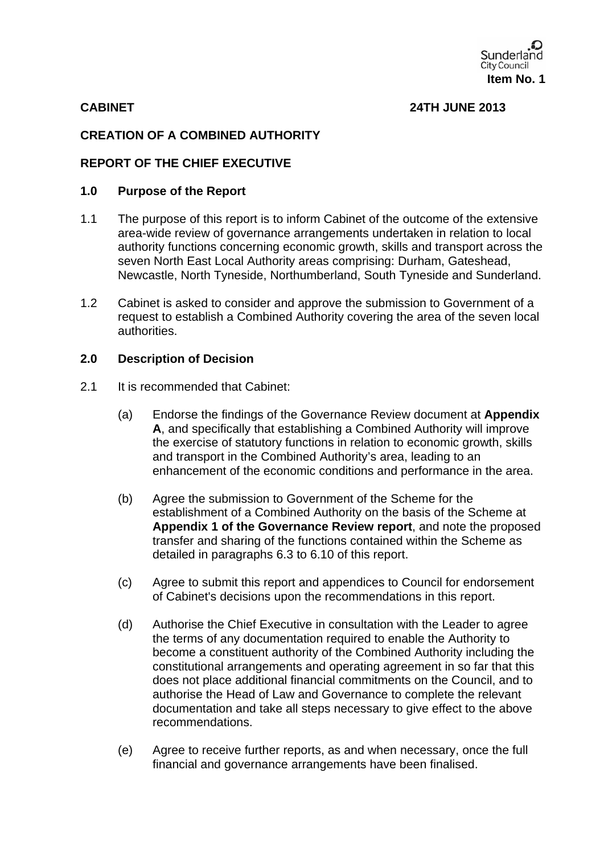

**CABINET 24TH JUNE 2013** 

## **CREATION OF A COMBINED AUTHORITY**

## **REPORT OF THE CHIEF EXECUTIVE**

#### **1.0 Purpose of the Report**

- 1.1 The purpose of this report is to inform Cabinet of the outcome of the extensive area-wide review of governance arrangements undertaken in relation to local authority functions concerning economic growth, skills and transport across the seven North East Local Authority areas comprising: Durham, Gateshead, Newcastle, North Tyneside, Northumberland, South Tyneside and Sunderland.
- 1.2 Cabinet is asked to consider and approve the submission to Government of a request to establish a Combined Authority covering the area of the seven local authorities.

#### **2.0 Description of Decision**

- 2.1 It is recommended that Cabinet:
	- (a) Endorse the findings of the Governance Review document at **Appendix A**, and specifically that establishing a Combined Authority will improve the exercise of statutory functions in relation to economic growth, skills and transport in the Combined Authority's area, leading to an enhancement of the economic conditions and performance in the area.
	- (b) Agree the submission to Government of the Scheme for the establishment of a Combined Authority on the basis of the Scheme at **Appendix 1 of the Governance Review report**, and note the proposed transfer and sharing of the functions contained within the Scheme as detailed in paragraphs 6.3 to 6.10 of this report.
	- (c) Agree to submit this report and appendices to Council for endorsement of Cabinet's decisions upon the recommendations in this report.
	- (d) Authorise the Chief Executive in consultation with the Leader to agree the terms of any documentation required to enable the Authority to become a constituent authority of the Combined Authority including the constitutional arrangements and operating agreement in so far that this does not place additional financial commitments on the Council, and to authorise the Head of Law and Governance to complete the relevant documentation and take all steps necessary to give effect to the above recommendations.
	- (e) Agree to receive further reports, as and when necessary, once the full financial and governance arrangements have been finalised.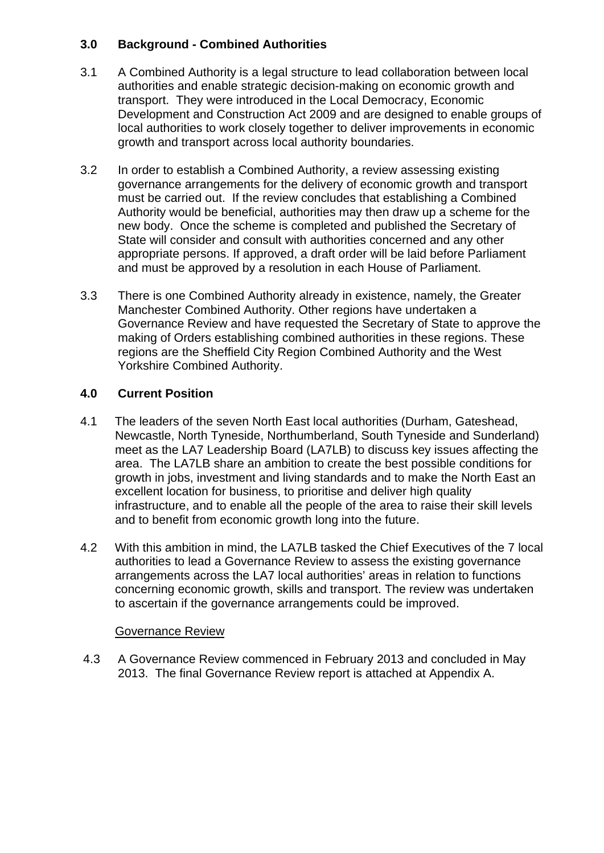# **3.0 Background - Combined Authorities**

- 3.1 A Combined Authority is a legal structure to lead collaboration between local authorities and enable strategic decision-making on economic growth and transport. They were introduced in the Local Democracy, Economic Development and Construction Act 2009 and are designed to enable groups of local authorities to work closely together to deliver improvements in economic growth and transport across local authority boundaries.
- 3.2 In order to establish a Combined Authority, a review assessing existing governance arrangements for the delivery of economic growth and transport must be carried out. If the review concludes that establishing a Combined Authority would be beneficial, authorities may then draw up a scheme for the new body. Once the scheme is completed and published the Secretary of State will consider and consult with authorities concerned and any other appropriate persons. If approved, a draft order will be laid before Parliament and must be approved by a resolution in each House of Parliament.
- 3.3 There is one Combined Authority already in existence, namely, the Greater Manchester Combined Authority. Other regions have undertaken a Governance Review and have requested the Secretary of State to approve the making of Orders establishing combined authorities in these regions. These regions are the Sheffield City Region Combined Authority and the West Yorkshire Combined Authority.

# **4.0 Current Position**

- 4.1 The leaders of the seven North East local authorities (Durham, Gateshead, Newcastle, North Tyneside, Northumberland, South Tyneside and Sunderland) meet as the LA7 Leadership Board (LA7LB) to discuss key issues affecting the area. The LA7LB share an ambition to create the best possible conditions for growth in jobs, investment and living standards and to make the North East an excellent location for business, to prioritise and deliver high quality infrastructure, and to enable all the people of the area to raise their skill levels and to benefit from economic growth long into the future.
- 4.2 With this ambition in mind, the LA7LB tasked the Chief Executives of the 7 local authorities to lead a Governance Review to assess the existing governance arrangements across the LA7 local authorities' areas in relation to functions concerning economic growth, skills and transport. The review was undertaken to ascertain if the governance arrangements could be improved.

# Governance Review

4.3 A Governance Review commenced in February 2013 and concluded in May 2013. The final Governance Review report is attached at Appendix A.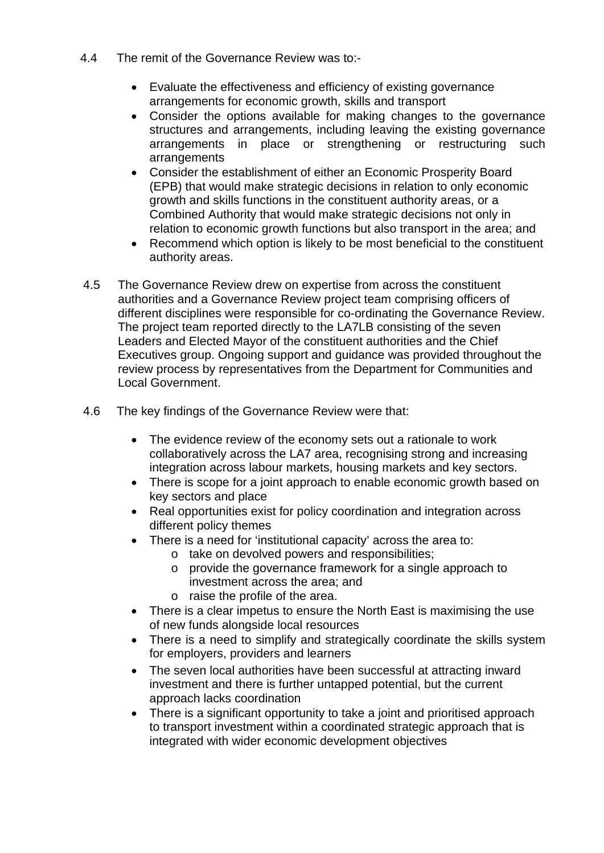- 4.4 The remit of the Governance Review was to:-
	- Evaluate the effectiveness and efficiency of existing governance arrangements for economic growth, skills and transport
	- Consider the options available for making changes to the governance structures and arrangements, including leaving the existing governance arrangements in place or strengthening or restructuring such arrangements
	- Consider the establishment of either an Economic Prosperity Board (EPB) that would make strategic decisions in relation to only economic growth and skills functions in the constituent authority areas, or a Combined Authority that would make strategic decisions not only in relation to economic growth functions but also transport in the area; and
	- Recommend which option is likely to be most beneficial to the constituent authority areas.
- 4.5 The Governance Review drew on expertise from across the constituent authorities and a Governance Review project team comprising officers of different disciplines were responsible for co-ordinating the Governance Review. The project team reported directly to the LA7LB consisting of the seven Leaders and Elected Mayor of the constituent authorities and the Chief Executives group. Ongoing support and guidance was provided throughout the review process by representatives from the Department for Communities and Local Government.
- 4.6 The key findings of the Governance Review were that:
	- The evidence review of the economy sets out a rationale to work collaboratively across the LA7 area, recognising strong and increasing integration across labour markets, housing markets and key sectors.
	- There is scope for a joint approach to enable economic growth based on key sectors and place
	- Real opportunities exist for policy coordination and integration across different policy themes
	- There is a need for 'institutional capacity' across the area to:
		- o take on devolved powers and responsibilities;
		- o provide the governance framework for a single approach to investment across the area; and
		- o raise the profile of the area.
	- There is a clear impetus to ensure the North East is maximising the use of new funds alongside local resources
	- There is a need to simplify and strategically coordinate the skills system for employers, providers and learners
	- The seven local authorities have been successful at attracting inward investment and there is further untapped potential, but the current approach lacks coordination
	- There is a significant opportunity to take a joint and prioritised approach to transport investment within a coordinated strategic approach that is integrated with wider economic development objectives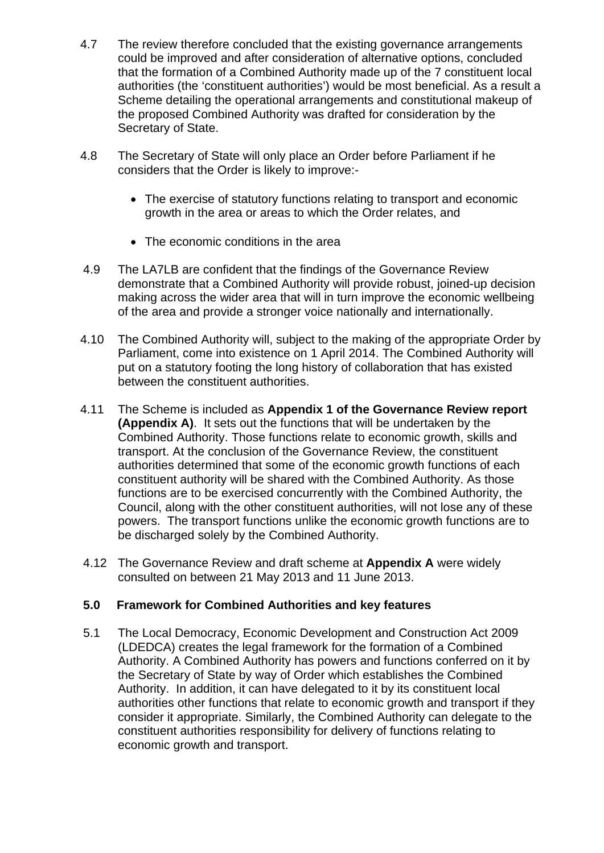- 4.7 The review therefore concluded that the existing governance arrangements could be improved and after consideration of alternative options, concluded that the formation of a Combined Authority made up of the 7 constituent local authorities (the 'constituent authorities') would be most beneficial. As a result a Scheme detailing the operational arrangements and constitutional makeup of the proposed Combined Authority was drafted for consideration by the Secretary of State.
- 4.8 The Secretary of State will only place an Order before Parliament if he considers that the Order is likely to improve:-
	- The exercise of statutory functions relating to transport and economic growth in the area or areas to which the Order relates, and
	- The economic conditions in the area
- 4.9 The LA7LB are confident that the findings of the Governance Review demonstrate that a Combined Authority will provide robust, joined-up decision making across the wider area that will in turn improve the economic wellbeing of the area and provide a stronger voice nationally and internationally.
- 4.10 The Combined Authority will, subject to the making of the appropriate Order by Parliament, come into existence on 1 April 2014. The Combined Authority will put on a statutory footing the long history of collaboration that has existed between the constituent authorities.
- 4.11 The Scheme is included as **Appendix 1 of the Governance Review report (Appendix A)**. It sets out the functions that will be undertaken by the Combined Authority. Those functions relate to economic growth, skills and transport. At the conclusion of the Governance Review, the constituent authorities determined that some of the economic growth functions of each constituent authority will be shared with the Combined Authority. As those functions are to be exercised concurrently with the Combined Authority, the Council, along with the other constituent authorities, will not lose any of these powers. The transport functions unlike the economic growth functions are to be discharged solely by the Combined Authority.
- 4.12 The Governance Review and draft scheme at **Appendix A** were widely consulted on between 21 May 2013 and 11 June 2013.

# **5.0 Framework for Combined Authorities and key features**

5.1 The Local Democracy, Economic Development and Construction Act 2009 (LDEDCA) creates the legal framework for the formation of a Combined Authority. A Combined Authority has powers and functions conferred on it by the Secretary of State by way of Order which establishes the Combined Authority. In addition, it can have delegated to it by its constituent local authorities other functions that relate to economic growth and transport if they consider it appropriate. Similarly, the Combined Authority can delegate to the constituent authorities responsibility for delivery of functions relating to economic growth and transport.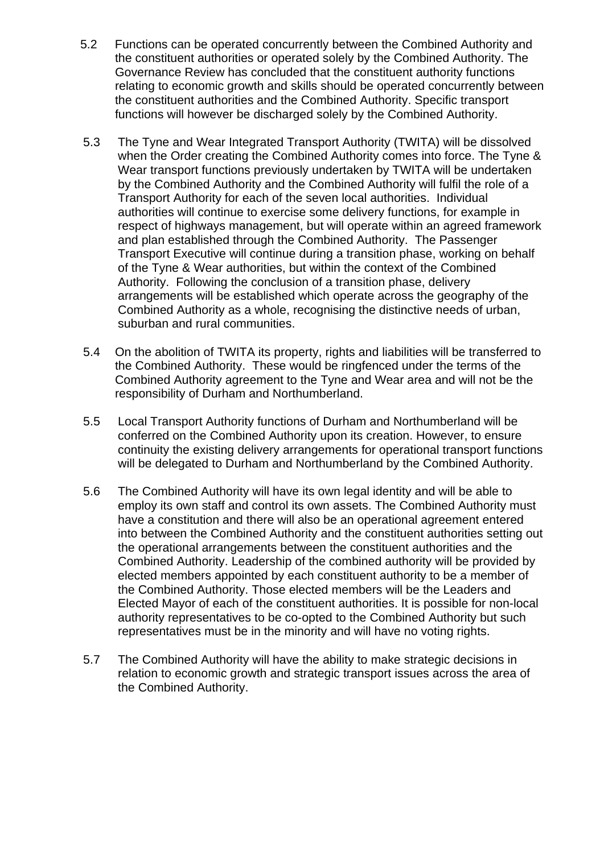- 5.2 Functions can be operated concurrently between the Combined Authority and the constituent authorities or operated solely by the Combined Authority. The Governance Review has concluded that the constituent authority functions relating to economic growth and skills should be operated concurrently between the constituent authorities and the Combined Authority. Specific transport functions will however be discharged solely by the Combined Authority.
- 5.3 The Tyne and Wear Integrated Transport Authority (TWITA) will be dissolved when the Order creating the Combined Authority comes into force. The Tyne & Wear transport functions previously undertaken by TWITA will be undertaken by the Combined Authority and the Combined Authority will fulfil the role of a Transport Authority for each of the seven local authorities. Individual authorities will continue to exercise some delivery functions, for example in respect of highways management, but will operate within an agreed framework and plan established through the Combined Authority. The Passenger Transport Executive will continue during a transition phase, working on behalf of the Tyne & Wear authorities, but within the context of the Combined Authority. Following the conclusion of a transition phase, delivery arrangements will be established which operate across the geography of the Combined Authority as a whole, recognising the distinctive needs of urban, suburban and rural communities.
- 5.4 On the abolition of TWITA its property, rights and liabilities will be transferred to the Combined Authority. These would be ringfenced under the terms of the Combined Authority agreement to the Tyne and Wear area and will not be the responsibility of Durham and Northumberland.
- 5.5 Local Transport Authority functions of Durham and Northumberland will be conferred on the Combined Authority upon its creation. However, to ensure continuity the existing delivery arrangements for operational transport functions will be delegated to Durham and Northumberland by the Combined Authority.
- 5.6 The Combined Authority will have its own legal identity and will be able to employ its own staff and control its own assets. The Combined Authority must have a constitution and there will also be an operational agreement entered into between the Combined Authority and the constituent authorities setting out the operational arrangements between the constituent authorities and the Combined Authority. Leadership of the combined authority will be provided by elected members appointed by each constituent authority to be a member of the Combined Authority. Those elected members will be the Leaders and Elected Mayor of each of the constituent authorities. It is possible for non-local authority representatives to be co-opted to the Combined Authority but such representatives must be in the minority and will have no voting rights.
- 5.7 The Combined Authority will have the ability to make strategic decisions in relation to economic growth and strategic transport issues across the area of the Combined Authority.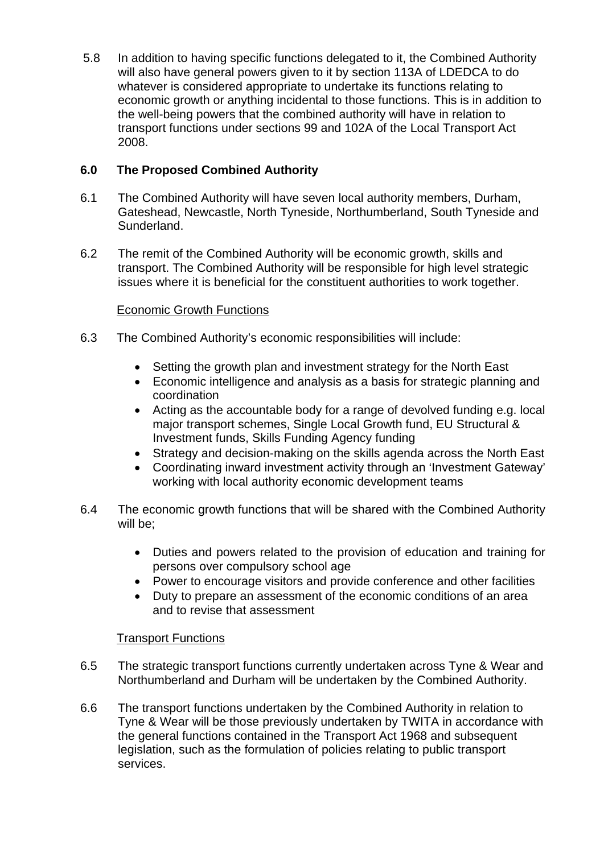5.8 In addition to having specific functions delegated to it, the Combined Authority will also have general powers given to it by section 113A of LDEDCA to do whatever is considered appropriate to undertake its functions relating to economic growth or anything incidental to those functions. This is in addition to the well-being powers that the combined authority will have in relation to transport functions under sections 99 and 102A of the Local Transport Act 2008.

# **6.0 The Proposed Combined Authority**

- 6.1 The Combined Authority will have seven local authority members, Durham, Gateshead, Newcastle, North Tyneside, Northumberland, South Tyneside and Sunderland.
- 6.2 The remit of the Combined Authority will be economic growth, skills and transport. The Combined Authority will be responsible for high level strategic issues where it is beneficial for the constituent authorities to work together.

# Economic Growth Functions

- 6.3 The Combined Authority's economic responsibilities will include:
	- Setting the growth plan and investment strategy for the North East
	- Economic intelligence and analysis as a basis for strategic planning and coordination
	- Acting as the accountable body for a range of devolved funding e.g. local major transport schemes, Single Local Growth fund, EU Structural & Investment funds, Skills Funding Agency funding
	- Strategy and decision-making on the skills agenda across the North East
	- Coordinating inward investment activity through an 'Investment Gateway' working with local authority economic development teams
- 6.4 The economic growth functions that will be shared with the Combined Authority will be;
	- Duties and powers related to the provision of education and training for persons over compulsory school age
	- Power to encourage visitors and provide conference and other facilities
	- Duty to prepare an assessment of the economic conditions of an area and to revise that assessment

# Transport Functions

- 6.5 The strategic transport functions currently undertaken across Tyne & Wear and Northumberland and Durham will be undertaken by the Combined Authority.
- 6.6 The transport functions undertaken by the Combined Authority in relation to Tyne & Wear will be those previously undertaken by TWITA in accordance with the general functions contained in the Transport Act 1968 and subsequent legislation, such as the formulation of policies relating to public transport services.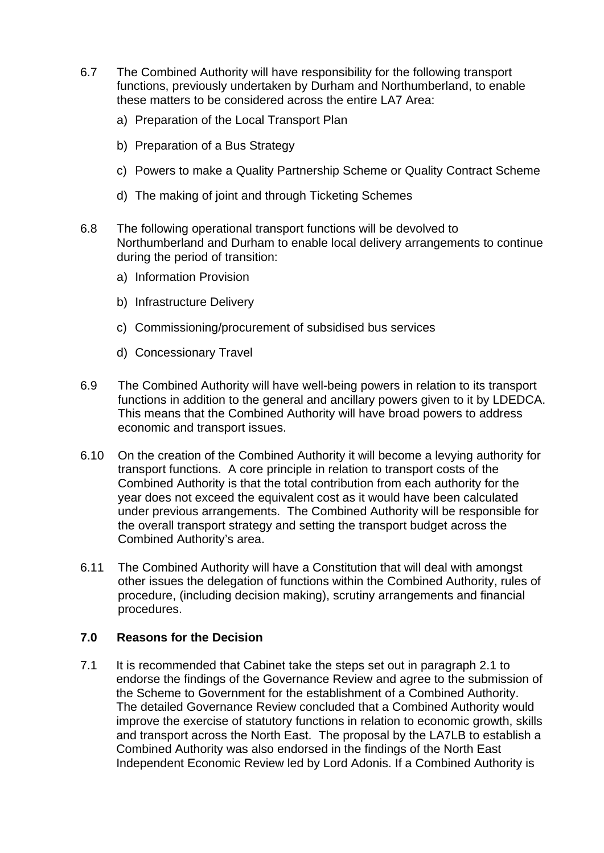- 6.7 The Combined Authority will have responsibility for the following transport functions, previously undertaken by Durham and Northumberland, to enable these matters to be considered across the entire LA7 Area:
	- a) Preparation of the Local Transport Plan
	- b) Preparation of a Bus Strategy
	- c) Powers to make a Quality Partnership Scheme or Quality Contract Scheme
	- d) The making of joint and through Ticketing Schemes
- 6.8 The following operational transport functions will be devolved to Northumberland and Durham to enable local delivery arrangements to continue during the period of transition:
	- a) Information Provision
	- b) Infrastructure Delivery
	- c) Commissioning/procurement of subsidised bus services
	- d) Concessionary Travel
- 6.9 The Combined Authority will have well-being powers in relation to its transport functions in addition to the general and ancillary powers given to it by LDEDCA. This means that the Combined Authority will have broad powers to address economic and transport issues.
- 6.10 On the creation of the Combined Authority it will become a levying authority for transport functions. A core principle in relation to transport costs of the Combined Authority is that the total contribution from each authority for the year does not exceed the equivalent cost as it would have been calculated under previous arrangements. The Combined Authority will be responsible for the overall transport strategy and setting the transport budget across the Combined Authority's area.
- 6.11 The Combined Authority will have a Constitution that will deal with amongst other issues the delegation of functions within the Combined Authority, rules of procedure, (including decision making), scrutiny arrangements and financial procedures.

## **7.0 Reasons for the Decision**

7.1 It is recommended that Cabinet take the steps set out in paragraph 2.1 to endorse the findings of the Governance Review and agree to the submission of the Scheme to Government for the establishment of a Combined Authority. The detailed Governance Review concluded that a Combined Authority would improve the exercise of statutory functions in relation to economic growth, skills and transport across the North East. The proposal by the LA7LB to establish a Combined Authority was also endorsed in the findings of the North East Independent Economic Review led by Lord Adonis. If a Combined Authority is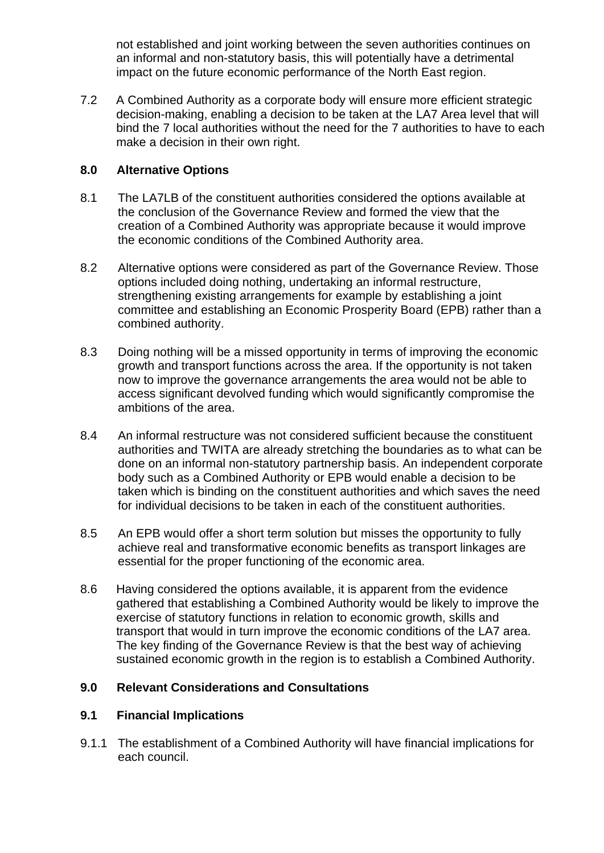not established and joint working between the seven authorities continues on an informal and non-statutory basis, this will potentially have a detrimental impact on the future economic performance of the North East region.

7.2 A Combined Authority as a corporate body will ensure more efficient strategic decision-making, enabling a decision to be taken at the LA7 Area level that will bind the 7 local authorities without the need for the 7 authorities to have to each make a decision in their own right.

## **8.0 Alternative Options**

- 8.1 The LA7LB of the constituent authorities considered the options available at the conclusion of the Governance Review and formed the view that the creation of a Combined Authority was appropriate because it would improve the economic conditions of the Combined Authority area.
- 8.2 Alternative options were considered as part of the Governance Review. Those options included doing nothing, undertaking an informal restructure, strengthening existing arrangements for example by establishing a joint committee and establishing an Economic Prosperity Board (EPB) rather than a combined authority.
- 8.3 Doing nothing will be a missed opportunity in terms of improving the economic growth and transport functions across the area. If the opportunity is not taken now to improve the governance arrangements the area would not be able to access significant devolved funding which would significantly compromise the ambitions of the area.
- 8.4 An informal restructure was not considered sufficient because the constituent authorities and TWITA are already stretching the boundaries as to what can be done on an informal non-statutory partnership basis. An independent corporate body such as a Combined Authority or EPB would enable a decision to be taken which is binding on the constituent authorities and which saves the need for individual decisions to be taken in each of the constituent authorities.
- 8.5 An EPB would offer a short term solution but misses the opportunity to fully achieve real and transformative economic benefits as transport linkages are essential for the proper functioning of the economic area.
- 8.6 Having considered the options available, it is apparent from the evidence gathered that establishing a Combined Authority would be likely to improve the exercise of statutory functions in relation to economic growth, skills and transport that would in turn improve the economic conditions of the LA7 area. The key finding of the Governance Review is that the best way of achieving sustained economic growth in the region is to establish a Combined Authority.

# **9.0 Relevant Considerations and Consultations**

## **9.1 Financial Implications**

9.1.1 The establishment of a Combined Authority will have financial implications for each council.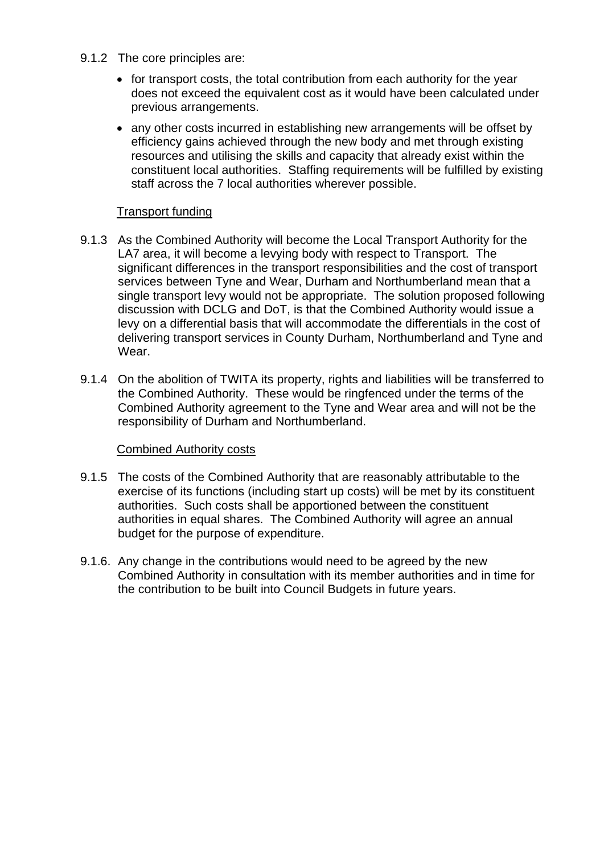- 9.1.2 The core principles are:
	- for transport costs, the total contribution from each authority for the year does not exceed the equivalent cost as it would have been calculated under previous arrangements.
	- any other costs incurred in establishing new arrangements will be offset by efficiency gains achieved through the new body and met through existing resources and utilising the skills and capacity that already exist within the constituent local authorities. Staffing requirements will be fulfilled by existing staff across the 7 local authorities wherever possible.

### Transport funding

- 9.1.3 As the Combined Authority will become the Local Transport Authority for the LA7 area, it will become a levying body with respect to Transport. The significant differences in the transport responsibilities and the cost of transport services between Tyne and Wear, Durham and Northumberland mean that a single transport levy would not be appropriate. The solution proposed following discussion with DCLG and DoT, is that the Combined Authority would issue a levy on a differential basis that will accommodate the differentials in the cost of delivering transport services in County Durham, Northumberland and Tyne and Wear.
- 9.1.4 On the abolition of TWITA its property, rights and liabilities will be transferred to the Combined Authority. These would be ringfenced under the terms of the Combined Authority agreement to the Tyne and Wear area and will not be the responsibility of Durham and Northumberland.

## Combined Authority costs

- 9.1.5 The costs of the Combined Authority that are reasonably attributable to the exercise of its functions (including start up costs) will be met by its constituent authorities. Such costs shall be apportioned between the constituent authorities in equal shares. The Combined Authority will agree an annual budget for the purpose of expenditure.
- 9.1.6. Any change in the contributions would need to be agreed by the new Combined Authority in consultation with its member authorities and in time for the contribution to be built into Council Budgets in future years.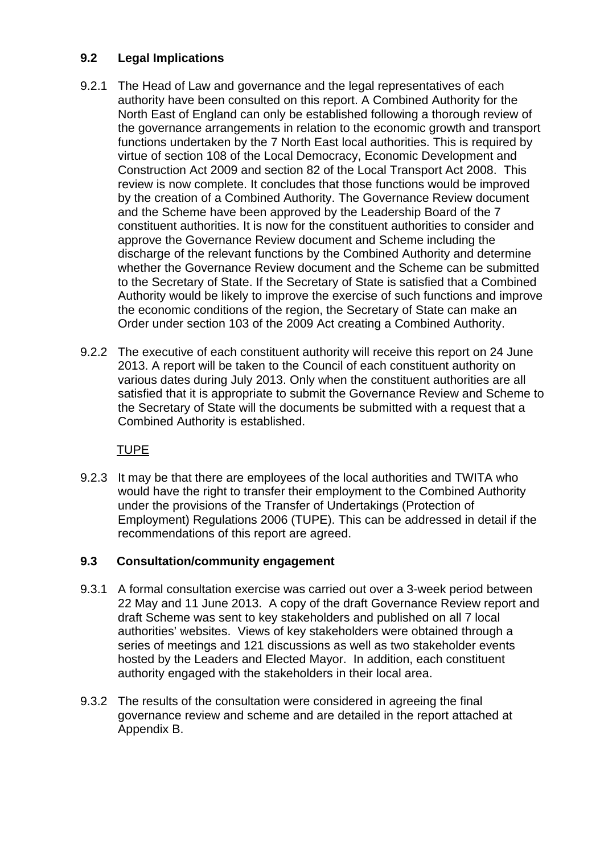## **9.2 Legal Implications**

- 9.2.1 The Head of Law and governance and the legal representatives of each authority have been consulted on this report. A Combined Authority for the North East of England can only be established following a thorough review of the governance arrangements in relation to the economic growth and transport functions undertaken by the 7 North East local authorities. This is required by virtue of section 108 of the Local Democracy, Economic Development and Construction Act 2009 and section 82 of the Local Transport Act 2008. This review is now complete. It concludes that those functions would be improved by the creation of a Combined Authority. The Governance Review document and the Scheme have been approved by the Leadership Board of the 7 constituent authorities. It is now for the constituent authorities to consider and approve the Governance Review document and Scheme including the discharge of the relevant functions by the Combined Authority and determine whether the Governance Review document and the Scheme can be submitted to the Secretary of State. If the Secretary of State is satisfied that a Combined Authority would be likely to improve the exercise of such functions and improve the economic conditions of the region, the Secretary of State can make an Order under section 103 of the 2009 Act creating a Combined Authority.
- 9.2.2 The executive of each constituent authority will receive this report on 24 June 2013. A report will be taken to the Council of each constituent authority on various dates during July 2013. Only when the constituent authorities are all satisfied that it is appropriate to submit the Governance Review and Scheme to the Secretary of State will the documents be submitted with a request that a Combined Authority is established.

# TUPE

9.2.3 It may be that there are employees of the local authorities and TWITA who would have the right to transfer their employment to the Combined Authority under the provisions of the Transfer of Undertakings (Protection of Employment) Regulations 2006 (TUPE). This can be addressed in detail if the recommendations of this report are agreed.

## **9.3 Consultation/community engagement**

- 9.3.1 A formal consultation exercise was carried out over a 3-week period between 22 May and 11 June 2013. A copy of the draft Governance Review report and draft Scheme was sent to key stakeholders and published on all 7 local authorities' websites. Views of key stakeholders were obtained through a series of meetings and 121 discussions as well as two stakeholder events hosted by the Leaders and Elected Mayor. In addition, each constituent authority engaged with the stakeholders in their local area.
- 9.3.2 The results of the consultation were considered in agreeing the final governance review and scheme and are detailed in the report attached at Appendix B.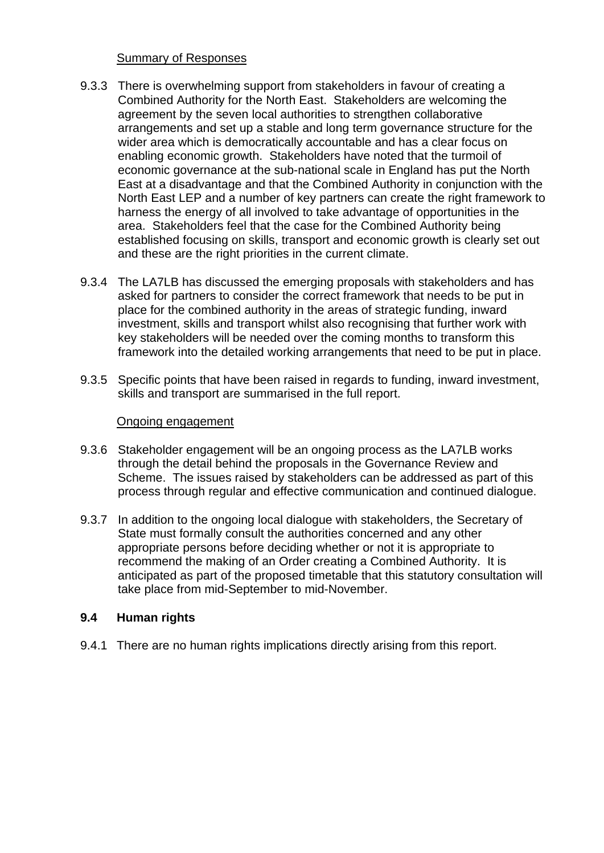#### Summary of Responses

- 9.3.3 There is overwhelming support from stakeholders in favour of creating a Combined Authority for the North East. Stakeholders are welcoming the agreement by the seven local authorities to strengthen collaborative arrangements and set up a stable and long term governance structure for the wider area which is democratically accountable and has a clear focus on enabling economic growth. Stakeholders have noted that the turmoil of economic governance at the sub-national scale in England has put the North East at a disadvantage and that the Combined Authority in conjunction with the North East LEP and a number of key partners can create the right framework to harness the energy of all involved to take advantage of opportunities in the area. Stakeholders feel that the case for the Combined Authority being established focusing on skills, transport and economic growth is clearly set out and these are the right priorities in the current climate.
- 9.3.4 The LA7LB has discussed the emerging proposals with stakeholders and has asked for partners to consider the correct framework that needs to be put in place for the combined authority in the areas of strategic funding, inward investment, skills and transport whilst also recognising that further work with key stakeholders will be needed over the coming months to transform this framework into the detailed working arrangements that need to be put in place.
- 9.3.5 Specific points that have been raised in regards to funding, inward investment, skills and transport are summarised in the full report.

### Ongoing engagement

- 9.3.6 Stakeholder engagement will be an ongoing process as the LA7LB works through the detail behind the proposals in the Governance Review and Scheme. The issues raised by stakeholders can be addressed as part of this process through regular and effective communication and continued dialogue.
- 9.3.7 In addition to the ongoing local dialogue with stakeholders, the Secretary of State must formally consult the authorities concerned and any other appropriate persons before deciding whether or not it is appropriate to recommend the making of an Order creating a Combined Authority. It is anticipated as part of the proposed timetable that this statutory consultation will take place from mid-September to mid-November.

## **9.4 Human rights**

9.4.1 There are no human rights implications directly arising from this report.